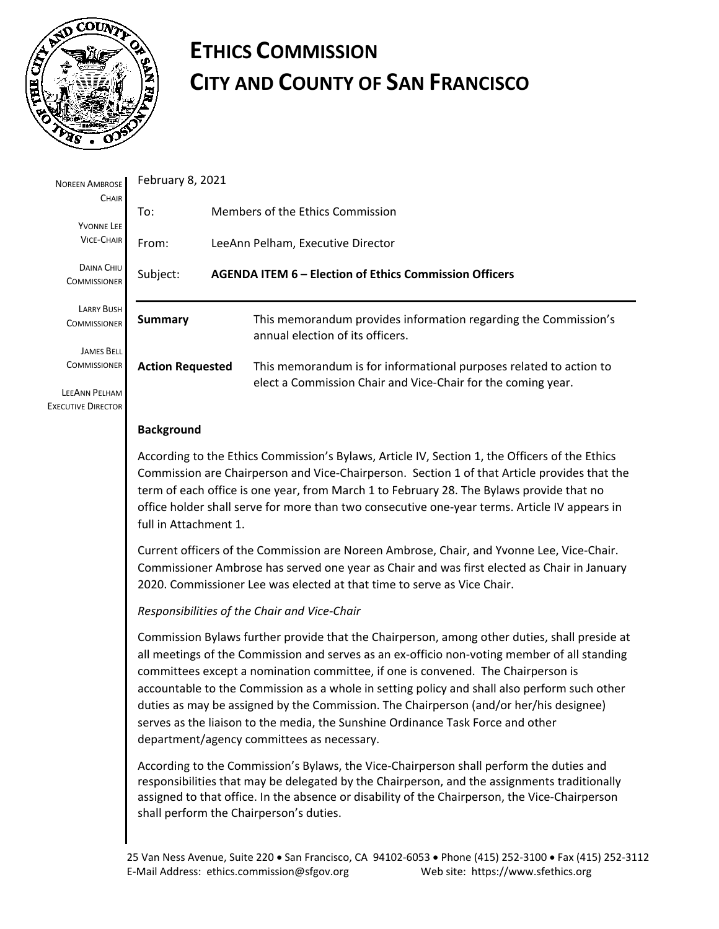

# **ETHICS COMMISSION CITY AND COUNTY OF SAN FRANCISCO**

| <b>NOREEN AMBROSE</b>                                     | February 8, 2021                                                                                                                                                                                                                                                                                                                                                                                                                                                                                                                                                                                                                                                                                                                                                                                                                                                                                                                                                                                                                                                                                                                                                                                                                                                                                                                                           |                                                                                                                                    |  |
|-----------------------------------------------------------|------------------------------------------------------------------------------------------------------------------------------------------------------------------------------------------------------------------------------------------------------------------------------------------------------------------------------------------------------------------------------------------------------------------------------------------------------------------------------------------------------------------------------------------------------------------------------------------------------------------------------------------------------------------------------------------------------------------------------------------------------------------------------------------------------------------------------------------------------------------------------------------------------------------------------------------------------------------------------------------------------------------------------------------------------------------------------------------------------------------------------------------------------------------------------------------------------------------------------------------------------------------------------------------------------------------------------------------------------------|------------------------------------------------------------------------------------------------------------------------------------|--|
| CHAIR<br><b>YVONNE LEE</b><br><b>VICE-CHAIR</b>           | To:                                                                                                                                                                                                                                                                                                                                                                                                                                                                                                                                                                                                                                                                                                                                                                                                                                                                                                                                                                                                                                                                                                                                                                                                                                                                                                                                                        | Members of the Ethics Commission                                                                                                   |  |
|                                                           | From:<br>LeeAnn Pelham, Executive Director                                                                                                                                                                                                                                                                                                                                                                                                                                                                                                                                                                                                                                                                                                                                                                                                                                                                                                                                                                                                                                                                                                                                                                                                                                                                                                                 |                                                                                                                                    |  |
| DAINA CHIU<br><b>COMMISSIONER</b>                         | AGENDA ITEM 6 - Election of Ethics Commission Officers<br>Subject:                                                                                                                                                                                                                                                                                                                                                                                                                                                                                                                                                                                                                                                                                                                                                                                                                                                                                                                                                                                                                                                                                                                                                                                                                                                                                         |                                                                                                                                    |  |
| <b>LARRY BUSH</b><br><b>COMMISSIONER</b>                  | <b>Summary</b>                                                                                                                                                                                                                                                                                                                                                                                                                                                                                                                                                                                                                                                                                                                                                                                                                                                                                                                                                                                                                                                                                                                                                                                                                                                                                                                                             | This memorandum provides information regarding the Commission's<br>annual election of its officers.                                |  |
| <b>JAMES BELL</b><br><b>COMMISSIONER</b><br>LEEANN PELHAM | <b>Action Requested</b>                                                                                                                                                                                                                                                                                                                                                                                                                                                                                                                                                                                                                                                                                                                                                                                                                                                                                                                                                                                                                                                                                                                                                                                                                                                                                                                                    | This memorandum is for informational purposes related to action to<br>elect a Commission Chair and Vice-Chair for the coming year. |  |
| <b>EXECUTIVE DIRECTOR</b>                                 | <b>Background</b>                                                                                                                                                                                                                                                                                                                                                                                                                                                                                                                                                                                                                                                                                                                                                                                                                                                                                                                                                                                                                                                                                                                                                                                                                                                                                                                                          |                                                                                                                                    |  |
|                                                           | According to the Ethics Commission's Bylaws, Article IV, Section 1, the Officers of the Ethics<br>Commission are Chairperson and Vice-Chairperson. Section 1 of that Article provides that the<br>term of each office is one year, from March 1 to February 28. The Bylaws provide that no<br>office holder shall serve for more than two consecutive one-year terms. Article IV appears in<br>full in Attachment 1.<br>Current officers of the Commission are Noreen Ambrose, Chair, and Yvonne Lee, Vice-Chair.<br>Commissioner Ambrose has served one year as Chair and was first elected as Chair in January<br>2020. Commissioner Lee was elected at that time to serve as Vice Chair.<br>Responsibilities of the Chair and Vice-Chair<br>Commission Bylaws further provide that the Chairperson, among other duties, shall preside at<br>all meetings of the Commission and serves as an ex-officio non-voting member of all standing<br>committees except a nomination committee, if one is convened. The Chairperson is<br>accountable to the Commission as a whole in setting policy and shall also perform such other<br>duties as may be assigned by the Commission. The Chairperson (and/or her/his designee)<br>serves as the liaison to the media, the Sunshine Ordinance Task Force and other<br>department/agency committees as necessary. |                                                                                                                                    |  |
|                                                           |                                                                                                                                                                                                                                                                                                                                                                                                                                                                                                                                                                                                                                                                                                                                                                                                                                                                                                                                                                                                                                                                                                                                                                                                                                                                                                                                                            |                                                                                                                                    |  |
|                                                           |                                                                                                                                                                                                                                                                                                                                                                                                                                                                                                                                                                                                                                                                                                                                                                                                                                                                                                                                                                                                                                                                                                                                                                                                                                                                                                                                                            |                                                                                                                                    |  |
|                                                           |                                                                                                                                                                                                                                                                                                                                                                                                                                                                                                                                                                                                                                                                                                                                                                                                                                                                                                                                                                                                                                                                                                                                                                                                                                                                                                                                                            |                                                                                                                                    |  |
|                                                           | According to the Commission's Bylaws, the Vice-Chairperson shall perform the duties and<br>responsibilities that may be delegated by the Chairperson, and the assignments traditionally<br>assigned to that office. In the absence or disability of the Chairperson, the Vice-Chairperson<br>shall perform the Chairperson's duties.                                                                                                                                                                                                                                                                                                                                                                                                                                                                                                                                                                                                                                                                                                                                                                                                                                                                                                                                                                                                                       |                                                                                                                                    |  |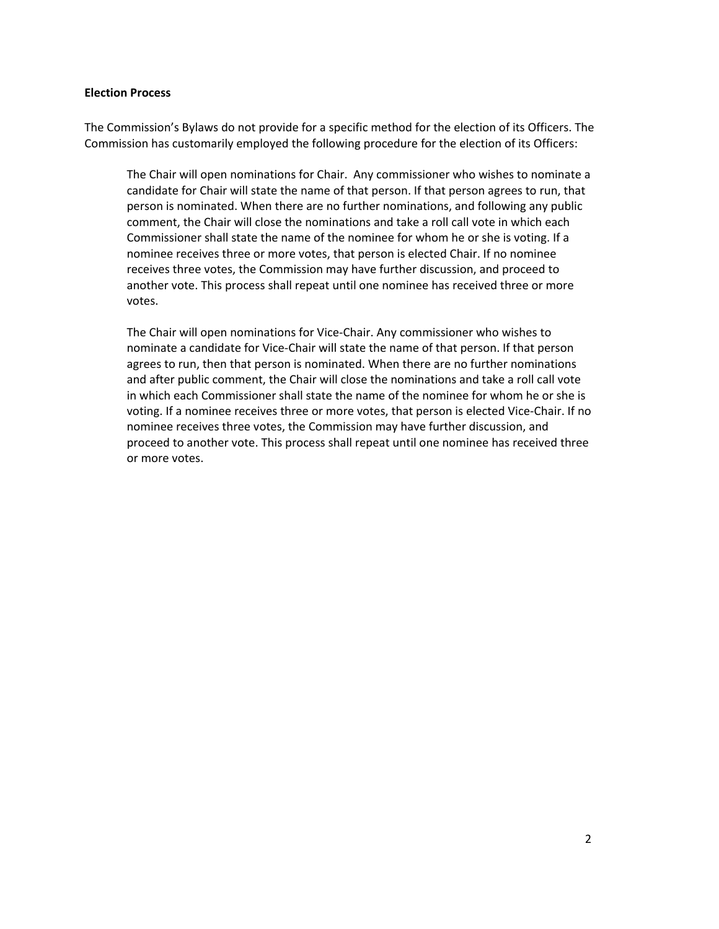#### **Election Process**

The Commission's Bylaws do not provide for a specific method for the election of its Officers. The Commission has customarily employed the following procedure for the election of its Officers:

The Chair will open nominations for Chair. Any commissioner who wishes to nominate a candidate for Chair will state the name of that person. If that person agrees to run, that person is nominated. When there are no further nominations, and following any public comment, the Chair will close the nominations and take a roll call vote in which each Commissioner shall state the name of the nominee for whom he or she is voting. If a nominee receives three or more votes, that person is elected Chair. If no nominee receives three votes, the Commission may have further discussion, and proceed to another vote. This process shall repeat until one nominee has received three or more votes.

The Chair will open nominations for Vice-Chair. Any commissioner who wishes to nominate a candidate for Vice-Chair will state the name of that person. If that person agrees to run, then that person is nominated. When there are no further nominations and after public comment, the Chair will close the nominations and take a roll call vote in which each Commissioner shall state the name of the nominee for whom he or she is voting. If a nominee receives three or more votes, that person is elected Vice-Chair. If no nominee receives three votes, the Commission may have further discussion, and proceed to another vote. This process shall repeat until one nominee has received three or more votes.